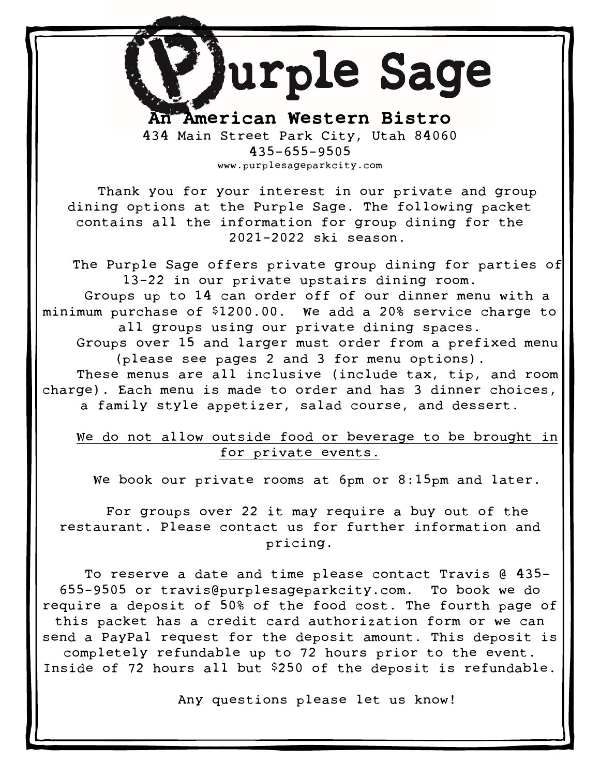# Ξ  $\blacktriangledown$  $\overline{\phantom{a}}$

TAmerican Western Bistro 434 Main Street Park City, Utah 84060 435-655-9505 www.purplesageparkcity.com

Thank you for your interest in our private and group dining options at the Purple Sage. The following packet contains all the information for group dining for the 2021-2022 ski season.

The Purple Sage offers private group dining for parties of 13-22 in our private upstairs dining room. Groups up to 14 can order off of our dinner menu with a minimum purchase of \$1200.00. We add a 20% service charge to all groups using our private dining spaces. Groups over 15 and larger must order from a prefixed menu (please see pages 2 and 3 for menu options). These menus are all inclusive (include tax, tip, and room charge). Each menu is made to order and has 3 dinner choices, a family style appetizer, salad course, and dessert.

### We do not allow outside food or beverage to be brought in for private events.

We book our private rooms at 6pm or 8:15pm and later.

For groups over 22 it may require a buy out of the restaurant. Please contact us for further information and pricing.

To reserve a date and time please contact Travis @ 435- 655-9505 or travis@purplesageparkcity.com. To book we do require a deposit of 50% of the food cost. The fourth page of this packet has a credit card authorization form or we can send a PayPal request for the deposit amount. This deposit is completely refundable up to 72 hours prior to the event. Inside of 72 hours all but \$250 of the deposit is refundable.

Any questions please let us know!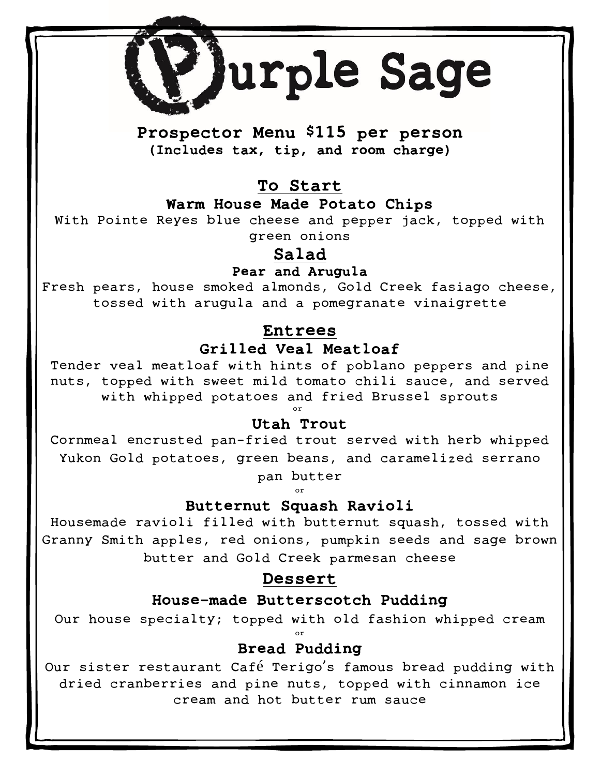Ξ  $\blacktriangledown$ I

Prospector Menu \$115 per person (Includes tax, tip, and room charge)

To Start

Warm House Made Potato Chips

With Pointe Reyes blue cheese and pepper jack, topped with green onions

Salad

Pear and Arugula

Fresh pears, house smoked almonds, Gold Creek fasiago cheese, tossed with arugula and a pomegranate vinaigrette

## Entrees

## Grilled Veal Meatloaf

Tender veal meatloaf with hints of poblano peppers and pine nuts, topped with sweet mild tomato chili sauce, and served with whipped potatoes and fried Brussel sprouts or

Utah Trout

Cornmeal encrusted pan-fried trout served with herb whipped Yukon Gold potatoes, green beans, and caramelized serrano

> pan butter or

Butternut Squash Ravioli

Housemade ravioli filled with butternut squash, tossed with Granny Smith apples, red onions, pumpkin seeds and sage brown butter and Gold Creek parmesan cheese

## Dessert

## House-made Butterscotch Pudding

Our house specialty; topped with old fashion whipped cream

or

## Bread Pudding

Our sister restaurant Café Terigo's famous bread pudding with dried cranberries and pine nuts, topped with cinnamon ice cream and hot butter rum sauce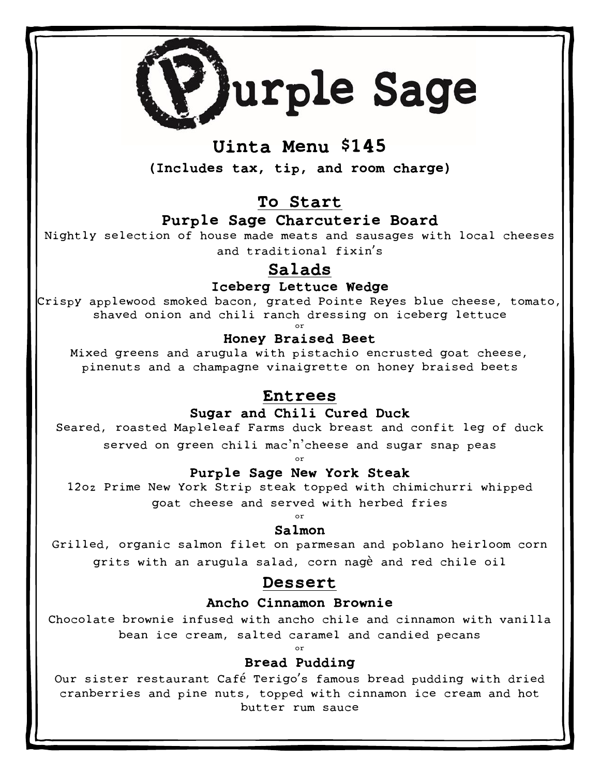

Γ

## Uinta Menu \$145

(Includes tax, tip, and room charge)

## To Start

### Purple Sage Charcuterie Board

Nightly selection of house made meats and sausages with local cheeses and traditional fixin's

## Salads

#### Iceberg Lettuce Wedge

Crispy applewood smoked bacon, grated Pointe Reyes blue cheese, tomato, shaved onion and chili ranch dressing on iceberg lettuce or

### Honey Braised Beet

Mixed greens and arugula with pistachio encrusted goat cheese, pinenuts and a champagne vinaigrette on honey braised beets

### Entrees

### Sugar and Chili Cured Duck

Seared, roasted Mapleleaf Farms duck breast and confit leg of duck served on green chili mac'n'cheese and sugar snap peas

or

### Purple Sage New York Steak

12oz Prime New York Strip steak topped with chimichurri whipped goat cheese and served with herbed fries

#### or Salmon

Grilled, organic salmon filet on parmesan and poblano heirloom corn grits with an arugula salad, corn nagè and red chile oil

### Dessert

#### Ancho Cinnamon Brownie

Chocolate brownie infused with ancho chile and cinnamon with vanilla bean ice cream, salted caramel and candied pecans

or

### Bread Pudding

Our sister restaurant Café Terigo's famous bread pudding with dried cranberries and pine nuts, topped with cinnamon ice cream and hot butter rum sauce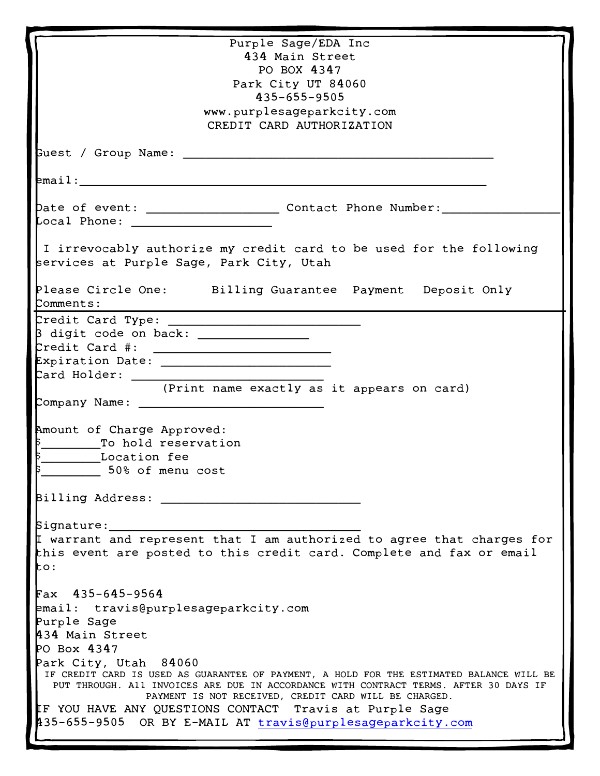| Purple Sage/EDA Inc                                                                                                        |
|----------------------------------------------------------------------------------------------------------------------------|
| 434 Main Street                                                                                                            |
| PO BOX 4347                                                                                                                |
| Park City UT 84060                                                                                                         |
| 435-655-9505                                                                                                               |
| www.purplesageparkcity.com                                                                                                 |
| CREDIT CARD AUTHORIZATION                                                                                                  |
|                                                                                                                            |
|                                                                                                                            |
|                                                                                                                            |
|                                                                                                                            |
| Date of event: _______________________ Contact Phone Number: __________                                                    |
|                                                                                                                            |
|                                                                                                                            |
| I irrevocably authorize my credit card to be used for the following                                                        |
| services at Purple Sage, Park City, Utah                                                                                   |
|                                                                                                                            |
| Please Circle One: Billing Guarantee Payment Deposit Only                                                                  |
| Comments:                                                                                                                  |
|                                                                                                                            |
| B digit code on back: _________________                                                                                    |
|                                                                                                                            |
| $\begin{minipage}{.4\linewidth} \textbf{Predict Card } \texttt{\#}: \quad \textcolor{red}{\textbf{Output}} \end{minipage}$ |
|                                                                                                                            |
|                                                                                                                            |
| (Print name exactly as it appears on card)                                                                                 |
|                                                                                                                            |
|                                                                                                                            |
| Amount of Charge Approved:                                                                                                 |
| To hold reservation                                                                                                        |
| Location fee                                                                                                               |
| 50% of menu cost                                                                                                           |
|                                                                                                                            |
| Billing Address: __                                                                                                        |
|                                                                                                                            |
|                                                                                                                            |
| Signature:                                                                                                                 |
| I warrant and represent that I am authorized to agree that charges for                                                     |
| this event are posted to this credit card. Complete and fax or email                                                       |
| to:                                                                                                                        |
|                                                                                                                            |
| $Fax$ 435-645-9564                                                                                                         |
| email: travis@purplesageparkcity.com                                                                                       |
| Purple Sage                                                                                                                |
| 434 Main Street                                                                                                            |
| PO Box 4347                                                                                                                |
| Park City, Utah 84060                                                                                                      |
| IF CREDIT CARD IS USED AS GUARANTEE OF PAYMENT, A HOLD FOR THE ESTIMATED BALANCE WILL BE                                   |
| PUT THROUGH. All INVOICES ARE DUE IN ACCORDANCE WITH CONTRACT TERMS. AFTER 30 DAYS IF                                      |
| PAYMENT IS NOT RECEIVED, CREDIT CARD WILL BE CHARGED.                                                                      |
| IF YOU HAVE ANY QUESTIONS CONTACT Travis at Purple Sage                                                                    |
| 435-655-9505 OR BY E-MAIL AT travis@purplesageparkcity.com                                                                 |
|                                                                                                                            |